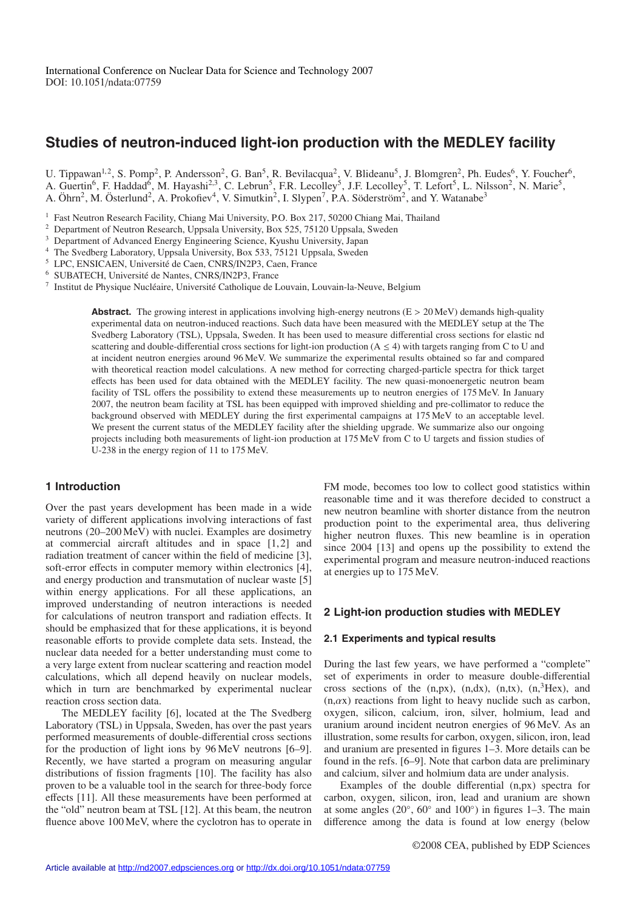# **Studies of neutron-induced light-ion production with the MEDLEY facility**

U. Tippawan<sup>1,2</sup>, S. Pomp<sup>2</sup>, P. Andersson<sup>2</sup>, G. Ban<sup>5</sup>, R. Bevilacqua<sup>2</sup>, V. Blideanu<sup>5</sup>, J. Blomgren<sup>2</sup>, Ph. Eudes<sup>6</sup>, Y. Foucher<sup>6</sup>, A. Guertin<sup>6</sup>, F. Haddad<sup>6</sup>, M. Hayashi<sup>2,3</sup>, C. Lebrun<sup>5</sup>, F.R. Lecolley<sup>5</sup>, J.F. Lecolley<sup>5</sup>, T. Lefort<sup>5</sup>, L. Nilsson<sup>2</sup>, N. Marie<sup>5</sup>, A. Marie<sup>5</sup>, A. Öhrn<sup>2</sup>, M. Österlund<sup>2</sup>, A. Prokofiev<sup>4</sup>, V. Simutkin<sup>2</sup>, I. Slypen<sup>7</sup>, P.A. Söderström<sup>2</sup>, and Y. Watanabe<sup>3</sup>

<sup>1</sup> Fast Neutron Research Facility, Chiang Mai University, P.O. Box 217, 50200 Chiang Mai, Thailand

<sup>2</sup> Department of Neutron Research, Uppsala University, Box 525, 75120 Uppsala, Sweden

<sup>3</sup> Department of Advanced Energy Engineering Science, Kyushu University, Japan

<sup>4</sup> The Svedberg Laboratory, Uppsala University, Box 533, 75121 Uppsala, Sweden

<sup>5</sup> LPC, ENSICAEN, Université de Caen, CNRS/IN2P3, Caen, France

<sup>6</sup> SUBATECH, Université de Nantes, CNRS/IN2P3, France

 $^7$  Institut de Physique Nucléaire, Université Catholique de Louvain, Louvain-la-Neuve, Belgium

**Abstract.** The growing interest in applications involving high-energy neutrons (E > 20 MeV) demands high-quality experimental data on neutron-induced reactions. Such data have been measured with the MEDLEY setup at the The Svedberg Laboratory (TSL), Uppsala, Sweden. It has been used to measure differential cross sections for elastic nd scattering and double-differential cross sections for light-ion production ( $A \le 4$ ) with targets ranging from C to U and at incident neutron energies around 96 MeV. We summarize the experimental results obtained so far and compared with theoretical reaction model calculations. A new method for correcting charged-particle spectra for thick target effects has been used for data obtained with the MEDLEY facility. The new quasi-monoenergetic neutron beam facility of TSL offers the possibility to extend these measurements up to neutron energies of 175 MeV. In January 2007, the neutron beam facility at TSL has been equipped with improved shielding and pre-collimator to reduce the background observed with MEDLEY during the first experimental campaigns at 175 MeV to an acceptable level. We present the current status of the MEDLEY facility after the shielding upgrade. We summarize also our ongoing projects including both measurements of light-ion production at 175 MeV from C to U targets and fission studies of U-238 in the energy region of 11 to 175 MeV.

## **1 Introduction**

Over the past years development has been made in a wide variety of different applications involving interactions of fast neutrons (20–200 MeV) with nuclei. Examples are dosimetry at commercial aircraft altitudes and in space [1, 2] and radiation treatment of cancer within the field of medicine [3], soft-error effects in computer memory within electronics [4], and energy production and transmutation of nuclear waste [5] within energy applications. For all these applications, an improved understanding of neutron interactions is needed for calculations of neutron transport and radiation effects. It should be emphasized that for these applications, it is beyond reasonable efforts to provide complete data sets. Instead, the nuclear data needed for a better understanding must come to a very large extent from nuclear scattering and reaction model calculations, which all depend heavily on nuclear models, which in turn are benchmarked by experimental nuclear reaction cross section data.

The MEDLEY facility [6], located at the The Svedberg Laboratory (TSL) in Uppsala, Sweden, has over the past years performed measurements of double-differential cross sections for the production of light ions by 96 MeV neutrons [6–9]. Recently, we have started a program on measuring angular distributions of fission fragments [10]. The facility has also proven to be a valuable tool in the search for three-body force effects [11]. All these measurements have been performed at the "old" neutron beam at TSL [12]. At this beam, the neutron fluence above 100 MeV, where the cyclotron has to operate in FM mode, becomes too low to collect good statistics within reasonable time and it was therefore decided to construct a new neutron beamline with shorter distance from the neutron production point to the experimental area, thus delivering higher neutron fluxes. This new beamline is in operation since 2004 [13] and opens up the possibility to extend the experimental program and measure neutron-induced reactions at energies up to 175 MeV.

# **2 Light-ion production studies with MEDLEY**

### **2.1 Experiments and typical results**

During the last few years, we have performed a "complete" set of experiments in order to measure double-differential cross sections of the  $(n,px)$ ,  $(n,dx)$ ,  $(n,tx)$ ,  $(n,3$ Hex), and  $(n, \alpha x)$  reactions from light to heavy nuclide such as carbon, oxygen, silicon, calcium, iron, silver, holmium, lead and uranium around incident neutron energies of 96 MeV. As an illustration, some results for carbon, oxygen, silicon, iron, lead and uranium are presented in figures 1–3. More details can be found in the refs. [6–9]. Note that carbon data are preliminary and calcium, silver and holmium data are under analysis.

Examples of the double differential (n,px) spectra for carbon, oxygen, silicon, iron, lead and uranium are shown at some angles ( $20^\circ$ ,  $60^\circ$  and  $100^\circ$ ) in figures 1–3. The main difference among the data is found at low energy (below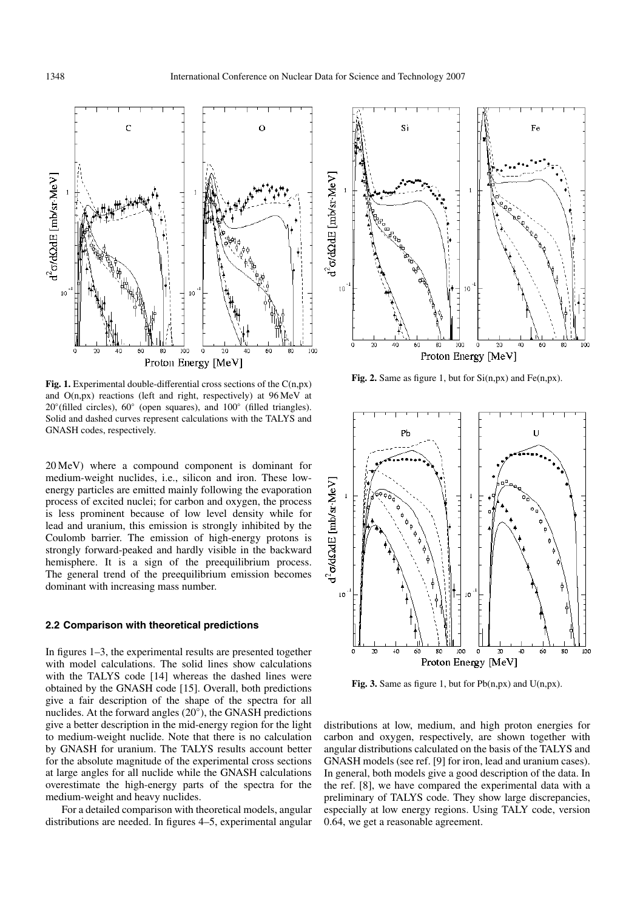

Fig. 1. Experimental double-differential cross sections of the C(n,px) and O(n,px) reactions (left and right, respectively) at 96 MeV at 20◦(filled circles), 60◦ (open squares), and 100◦ (filled triangles). Solid and dashed curves represent calculations with the TALYS and GNASH codes, respectively.

20 MeV) where a compound component is dominant for medium-weight nuclides, i.e., silicon and iron. These lowenergy particles are emitted mainly following the evaporation process of excited nuclei; for carbon and oxygen, the process is less prominent because of low level density while for lead and uranium, this emission is strongly inhibited by the Coulomb barrier. The emission of high-energy protons is strongly forward-peaked and hardly visible in the backward hemisphere. It is a sign of the preequilibrium process. The general trend of the preequilibrium emission becomes dominant with increasing mass number.

### **2.2 Comparison with theoretical predictions**

In figures 1–3, the experimental results are presented together with model calculations. The solid lines show calculations with the TALYS code [14] whereas the dashed lines were obtained by the GNASH code [15]. Overall, both predictions give a fair description of the shape of the spectra for all nuclides. At the forward angles (20◦), the GNASH predictions give a better description in the mid-energy region for the light to medium-weight nuclide. Note that there is no calculation by GNASH for uranium. The TALYS results account better for the absolute magnitude of the experimental cross sections at large angles for all nuclide while the GNASH calculations overestimate the high-energy parts of the spectra for the medium-weight and heavy nuclides.

For a detailed comparison with theoretical models, angular distributions are needed. In figures 4–5, experimental angular



**Fig. 2.** Same as figure 1, but for Si(n,px) and Fe(n,px).



**Fig. 3.** Same as figure 1, but for  $Pb(n,px)$  and  $U(n,px)$ .

distributions at low, medium, and high proton energies for carbon and oxygen, respectively, are shown together with angular distributions calculated on the basis of the TALYS and GNASH models (see ref. [9] for iron, lead and uranium cases). In general, both models give a good description of the data. In the ref. [8], we have compared the experimental data with a preliminary of TALYS code. They show large discrepancies, especially at low energy regions. Using TALY code, version 0.64, we get a reasonable agreement.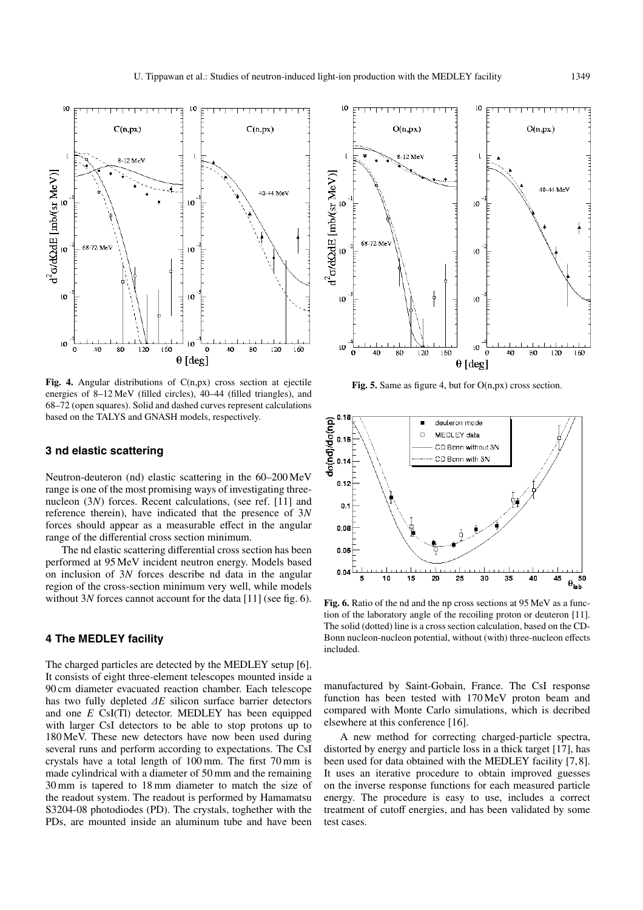

**Fig. 4.** Angular distributions of C(n,px) cross section at ejectile energies of 8–12 MeV (filled circles), 40–44 (filled triangles), and 68–72 (open squares). Solid and dashed curves represent calculations based on the TALYS and GNASH models, respectively.

## **3 nd elastic scattering**

Neutron-deuteron (nd) elastic scattering in the 60–200 MeV range is one of the most promising ways of investigating threenucleon (3*N*) forces. Recent calculations, (see ref. [11] and reference therein), have indicated that the presence of 3*N* forces should appear as a measurable effect in the angular range of the differential cross section minimum.

The nd elastic scattering differential cross section has been performed at 95 MeV incident neutron energy. Models based on inclusion of 3*N* forces describe nd data in the angular region of the cross-section minimum very well, while models without 3*N* forces cannot account for the data [11] (see fig. 6).

# **4 The MEDLEY facility**

The charged particles are detected by the MEDLEY setup [6]. It consists of eight three-element telescopes mounted inside a 90 cm diameter evacuated reaction chamber. Each telescope has two fully depleted ∆*E* silicon surface barrier detectors and one *E* CsI(Tl) detector. MEDLEY has been equipped with larger CsI detectors to be able to stop protons up to 180 MeV. These new detectors have now been used during several runs and perform according to expectations. The CsI crystals have a total length of 100 mm. The first 70 mm is made cylindrical with a diameter of 50 mm and the remaining 30 mm is tapered to 18 mm diameter to match the size of the readout system. The readout is performed by Hamamatsu S3204-08 photodiodes (PD). The crystals, toghether with the PDs, are mounted inside an aluminum tube and have been



**Fig. 5.** Same as figure 4, but for O(n,px) cross section.



**Fig. 6.** Ratio of the nd and the np cross sections at 95 MeV as a function of the laboratory angle of the recoiling proton or deuteron [11]. The solid (dotted) line is a cross section calculation, based on the CD-Bonn nucleon-nucleon potential, without (with) three-nucleon effects included.

manufactured by Saint-Gobain, France. The CsI response function has been tested with 170 MeV proton beam and compared with Monte Carlo simulations, which is decribed elsewhere at this conference [16].

A new method for correcting charged-particle spectra, distorted by energy and particle loss in a thick target [17], has been used for data obtained with the MEDLEY facility [7, 8]. It uses an iterative procedure to obtain improved guesses on the inverse response functions for each measured particle energy. The procedure is easy to use, includes a correct treatment of cutoff energies, and has been validated by some test cases.